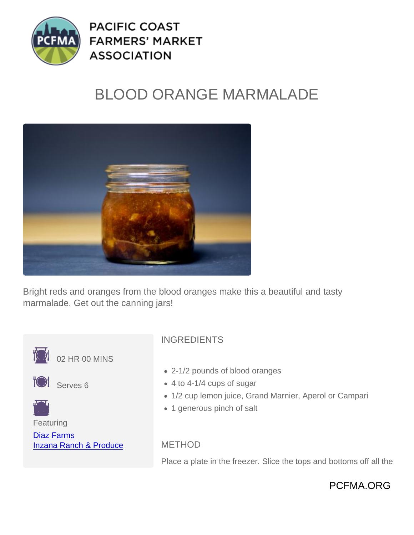## BLOOD ORANGE MARMALADE

Bright reds and oranges from the blood oranges make this a beautiful and tasty marmalade. Get out the canning jars!



Place a plate in the freezer. Slice the tops and bottoms off all the

PCFMA.ORG